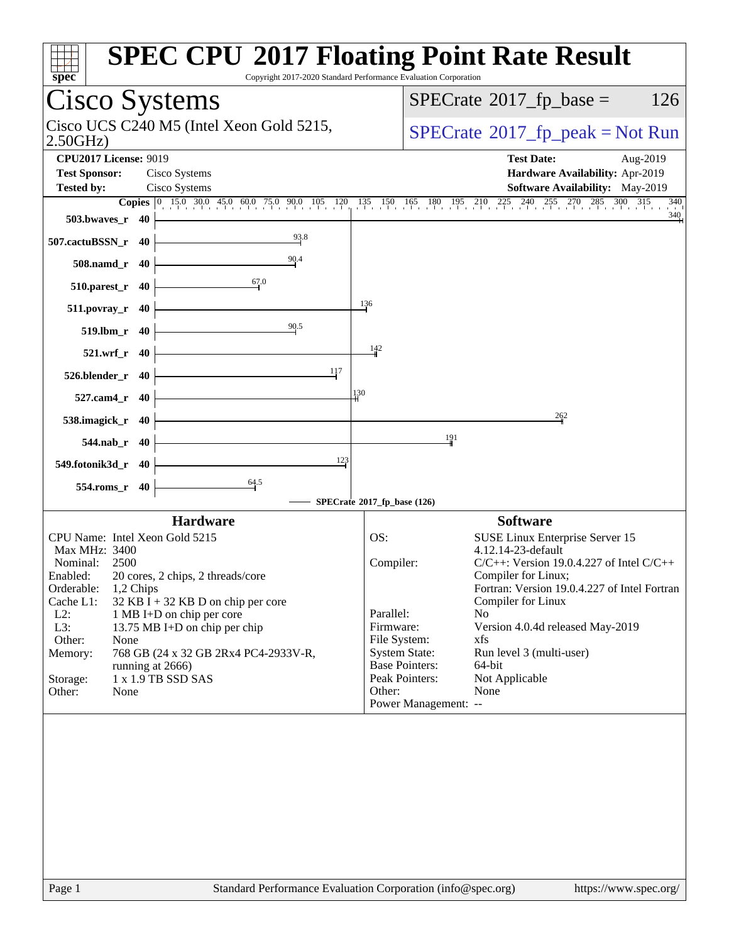| $spec*$                                              |              |  | <b>SPEC CPU®2017 Floating Point Rate Result</b><br>Copyright 2017-2020 Standard Performance Evaluation Corporation |     |                                          |                                          |                                                                  |  |  |  |
|------------------------------------------------------|--------------|--|--------------------------------------------------------------------------------------------------------------------|-----|------------------------------------------|------------------------------------------|------------------------------------------------------------------|--|--|--|
| Cisco Systems                                        |              |  |                                                                                                                    |     |                                          | $SPECrate^{\circ}2017$ _fp_base =<br>126 |                                                                  |  |  |  |
| Cisco UCS C240 M5 (Intel Xeon Gold 5215,<br>2.50GHz  |              |  |                                                                                                                    |     | $SPECrate^{\circ}2017rfp peak = Not Run$ |                                          |                                                                  |  |  |  |
| <b>CPU2017 License: 9019</b><br><b>Test Sponsor:</b> |              |  | Cisco Systems                                                                                                      |     |                                          |                                          | <b>Test Date:</b><br>Aug-2019<br>Hardware Availability: Apr-2019 |  |  |  |
| <b>Tested by:</b>                                    |              |  | Cisco Systems                                                                                                      |     |                                          |                                          | <b>Software Availability:</b> May-2019                           |  |  |  |
|                                                      |              |  | <b>Copies</b> 0 15.0 30.0 45.0 60.0 75.0 90.0 105 120 135 150 165 180 195 210 225 240 255 270 285 300 315          |     |                                          |                                          | 340                                                              |  |  |  |
| $503.bwaves_r$ 40                                    |              |  |                                                                                                                    |     |                                          |                                          | 340                                                              |  |  |  |
| 507.cactuBSSN_r 40                                   |              |  | 93.8                                                                                                               |     |                                          |                                          |                                                                  |  |  |  |
| 508.namd_r 40                                        |              |  | 90.4                                                                                                               |     |                                          |                                          |                                                                  |  |  |  |
| 510.parest_r 40                                      |              |  | 67.0                                                                                                               |     |                                          |                                          |                                                                  |  |  |  |
| $511. povray_r 40$                                   |              |  |                                                                                                                    |     | 136                                      |                                          |                                                                  |  |  |  |
| 519.1bm r 40                                         |              |  | 90.5                                                                                                               |     |                                          |                                          |                                                                  |  |  |  |
|                                                      | 521.wrf_r 40 |  |                                                                                                                    |     | 142                                      |                                          |                                                                  |  |  |  |
| 526.blender_r 40                                     |              |  | 117                                                                                                                | 130 |                                          |                                          |                                                                  |  |  |  |
| 527.cam4_r 40                                        |              |  |                                                                                                                    |     |                                          |                                          | 262                                                              |  |  |  |
| 538.imagick_r 40                                     |              |  |                                                                                                                    |     |                                          | 191                                      |                                                                  |  |  |  |
|                                                      | 544.nab_r 40 |  | 123                                                                                                                |     |                                          |                                          |                                                                  |  |  |  |
| 549.fotonik3d_r 40<br>554.roms_r 40                  |              |  | $\frac{64.5}{5}$                                                                                                   |     |                                          |                                          |                                                                  |  |  |  |
|                                                      |              |  |                                                                                                                    |     | SPECrate®2017_fp_base (126)              |                                          |                                                                  |  |  |  |
|                                                      |              |  | <b>Hardware</b>                                                                                                    |     |                                          |                                          | <b>Software</b>                                                  |  |  |  |
|                                                      |              |  | CPU Name: Intel Xeon Gold 5215                                                                                     |     | OS:                                      |                                          | SUSE Linux Enterprise Server 15                                  |  |  |  |
| Max MHz: 3400                                        |              |  |                                                                                                                    |     |                                          |                                          | 4.12.14-23-default                                               |  |  |  |
| Nominal:                                             | 2500         |  |                                                                                                                    |     | Compiler:                                |                                          | $C/C++$ : Version 19.0.4.227 of Intel $C/C++$                    |  |  |  |
| Enabled:                                             |              |  | 20 cores, 2 chips, 2 threads/core                                                                                  |     |                                          |                                          | Compiler for Linux;                                              |  |  |  |
| Orderable:                                           | 1,2 Chips    |  |                                                                                                                    |     |                                          |                                          | Fortran: Version 19.0.4.227 of Intel Fortran                     |  |  |  |
| Cache L1:                                            |              |  | $32$ KB I + 32 KB D on chip per core                                                                               |     |                                          |                                          | Compiler for Linux                                               |  |  |  |
| $L2$ :                                               |              |  | 1 MB I+D on chip per core                                                                                          |     | Parallel:                                |                                          | No                                                               |  |  |  |
| L3:                                                  |              |  | 13.75 MB I+D on chip per chip                                                                                      |     | Firmware:                                |                                          | Version 4.0.4d released May-2019                                 |  |  |  |
| Other:                                               | None         |  |                                                                                                                    |     | File System:                             |                                          | xfs                                                              |  |  |  |
| Memory:                                              |              |  | 768 GB (24 x 32 GB 2Rx4 PC4-2933V-R,                                                                               |     | <b>System State:</b>                     |                                          | Run level 3 (multi-user)                                         |  |  |  |
|                                                      |              |  | running at 2666)                                                                                                   |     |                                          | <b>Base Pointers:</b>                    | 64-bit                                                           |  |  |  |
| Storage:                                             |              |  | 1 x 1.9 TB SSD SAS                                                                                                 |     |                                          | Peak Pointers:                           | Not Applicable                                                   |  |  |  |
| Other:                                               | None         |  |                                                                                                                    |     | Other:                                   |                                          | None                                                             |  |  |  |
|                                                      |              |  |                                                                                                                    |     |                                          | Power Management: --                     |                                                                  |  |  |  |
|                                                      |              |  |                                                                                                                    |     |                                          |                                          |                                                                  |  |  |  |
|                                                      |              |  |                                                                                                                    |     |                                          |                                          |                                                                  |  |  |  |
|                                                      |              |  |                                                                                                                    |     |                                          |                                          |                                                                  |  |  |  |
| Page 1                                               |              |  | Standard Performance Evaluation Corporation (info@spec.org)                                                        |     |                                          |                                          | https://www.spec.org/                                            |  |  |  |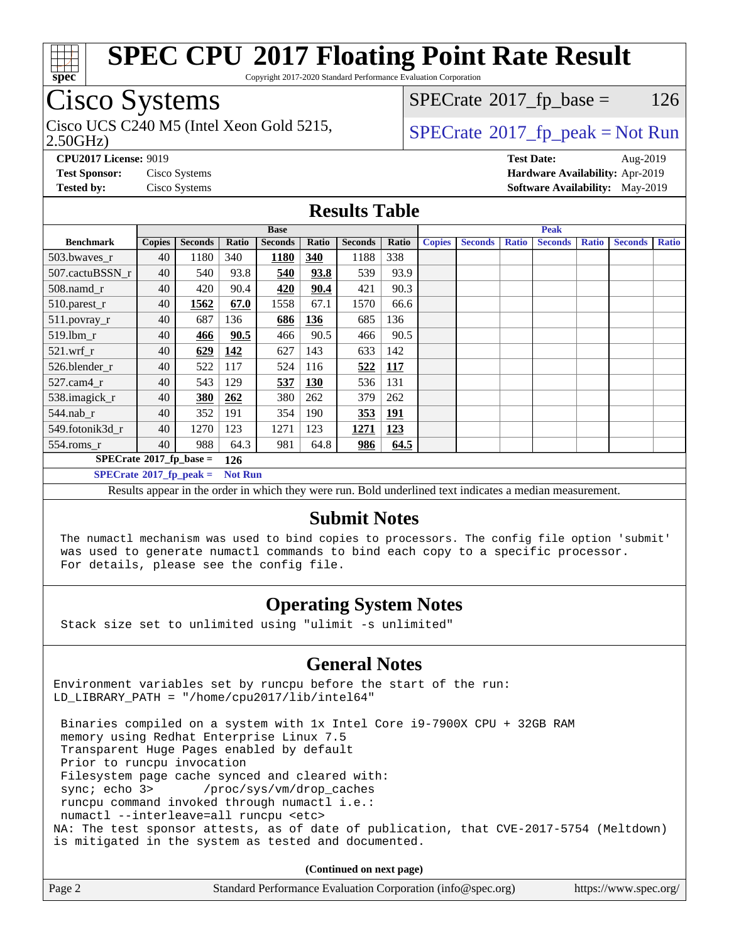

Copyright 2017-2020 Standard Performance Evaluation Corporation

### Cisco Systems

2.50GHz) Cisco UCS C240 M5 (Intel Xeon Gold 5215,  $\vert$  [SPECrate](http://www.spec.org/auto/cpu2017/Docs/result-fields.html#SPECrate2017fppeak)®[2017\\_fp\\_peak = N](http://www.spec.org/auto/cpu2017/Docs/result-fields.html#SPECrate2017fppeak)ot Run

 $SPECTate@2017_fp\_base = 126$ 

**[CPU2017 License:](http://www.spec.org/auto/cpu2017/Docs/result-fields.html#CPU2017License)** 9019 **[Test Date:](http://www.spec.org/auto/cpu2017/Docs/result-fields.html#TestDate)** Aug-2019 **[Test Sponsor:](http://www.spec.org/auto/cpu2017/Docs/result-fields.html#TestSponsor)** Cisco Systems **[Hardware Availability:](http://www.spec.org/auto/cpu2017/Docs/result-fields.html#HardwareAvailability)** Apr-2019 **[Tested by:](http://www.spec.org/auto/cpu2017/Docs/result-fields.html#Testedby)** Cisco Systems **[Software Availability:](http://www.spec.org/auto/cpu2017/Docs/result-fields.html#SoftwareAvailability)** May-2019

#### **[Results Table](http://www.spec.org/auto/cpu2017/Docs/result-fields.html#ResultsTable)**

|                                  | <b>Base</b>   |                |                |                |            |                |            | <b>Peak</b>   |                |              |                |              |                |              |
|----------------------------------|---------------|----------------|----------------|----------------|------------|----------------|------------|---------------|----------------|--------------|----------------|--------------|----------------|--------------|
| <b>Benchmark</b>                 | <b>Copies</b> | <b>Seconds</b> | Ratio          | <b>Seconds</b> | Ratio      | <b>Seconds</b> | Ratio      | <b>Copies</b> | <b>Seconds</b> | <b>Ratio</b> | <b>Seconds</b> | <b>Ratio</b> | <b>Seconds</b> | <b>Ratio</b> |
| 503.bwayes_r                     | 40            | 1180           | 340            | 1180           | 340        | 1188           | 338        |               |                |              |                |              |                |              |
| 507.cactuBSSN r                  | 40            | 540            | 93.8           | 540            | 93.8       | 539            | 93.9       |               |                |              |                |              |                |              |
| 508.namd_r                       | 40            | 420            | 90.4           | 420            | 90.4       | 421            | 90.3       |               |                |              |                |              |                |              |
| 510.parest_r                     | 40            | 1562           | 67.0           | 1558           | 67.1       | 1570           | 66.6       |               |                |              |                |              |                |              |
| 511.povray_r                     | 40            | 687            | 136            | 686            | <b>136</b> | 685            | 136        |               |                |              |                |              |                |              |
| 519.lbm r                        | 40            | 466            | 90.5           | 466            | 90.5       | 466            | 90.5       |               |                |              |                |              |                |              |
| $521.wrf_r$                      | 40            | 629            | 142            | 627            | 143        | 633            | 142        |               |                |              |                |              |                |              |
| 526.blender r                    | 40            | 522            | 117            | 524            | 116        | 522            | <b>117</b> |               |                |              |                |              |                |              |
| $527.cam4_r$                     | 40            | 543            | 129            | 537            | <b>130</b> | 536            | 131        |               |                |              |                |              |                |              |
| 538.imagick_r                    | 40            | 380            | 262            | 380            | 262        | 379            | 262        |               |                |              |                |              |                |              |
| $544$ .nab r                     | 40            | 352            | 191            | 354            | 190        | 353            | <u>191</u> |               |                |              |                |              |                |              |
| 549.fotonik3d r                  | 40            | 1270           | 123            | 1271           | 123        | 1271           | 123        |               |                |              |                |              |                |              |
| $554$ .roms $r$                  | 40            | 988            | 64.3           | 981            | 64.8       | 986            | 64.5       |               |                |              |                |              |                |              |
| $SPECrate^{\circ}2017$ fp base = |               |                | 126            |                |            |                |            |               |                |              |                |              |                |              |
| $SPECrate^{\circ}2017$ fp peak = |               |                | <b>Not Run</b> |                |            |                |            |               |                |              |                |              |                |              |

Results appear in the [order in which they were run.](http://www.spec.org/auto/cpu2017/Docs/result-fields.html#RunOrder) Bold underlined text [indicates a median measurement.](http://www.spec.org/auto/cpu2017/Docs/result-fields.html#Median)

#### **[Submit Notes](http://www.spec.org/auto/cpu2017/Docs/result-fields.html#SubmitNotes)**

 The numactl mechanism was used to bind copies to processors. The config file option 'submit' was used to generate numactl commands to bind each copy to a specific processor. For details, please see the config file.

### **[Operating System Notes](http://www.spec.org/auto/cpu2017/Docs/result-fields.html#OperatingSystemNotes)**

Stack size set to unlimited using "ulimit -s unlimited"

### **[General Notes](http://www.spec.org/auto/cpu2017/Docs/result-fields.html#GeneralNotes)**

Environment variables set by runcpu before the start of the run: LD LIBRARY PATH = "/home/cpu2017/lib/intel64"

 Binaries compiled on a system with 1x Intel Core i9-7900X CPU + 32GB RAM memory using Redhat Enterprise Linux 7.5 Transparent Huge Pages enabled by default Prior to runcpu invocation Filesystem page cache synced and cleared with: sync; echo 3> /proc/sys/vm/drop\_caches runcpu command invoked through numactl i.e.: numactl --interleave=all runcpu <etc> NA: The test sponsor attests, as of date of publication, that CVE-2017-5754 (Meltdown) is mitigated in the system as tested and documented.

**(Continued on next page)**

| Page 2 | Standard Performance Evaluation Corporation (info@spec.org) | https://www.spec.org/ |
|--------|-------------------------------------------------------------|-----------------------|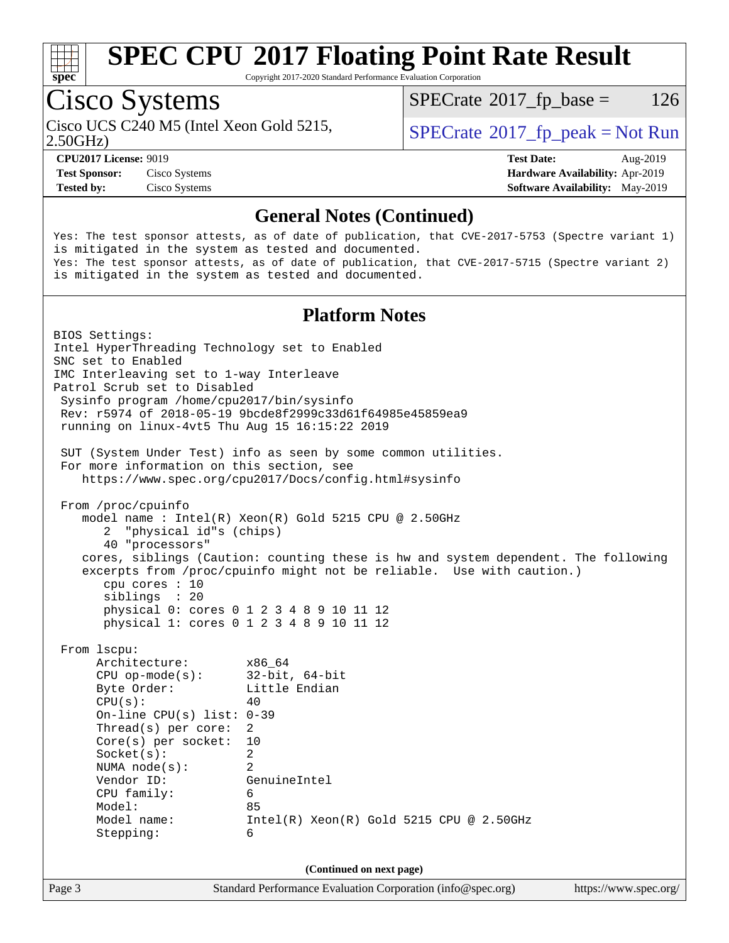

Copyright 2017-2020 Standard Performance Evaluation Corporation

### Cisco Systems

 $SPECTate@2017_fp\_base = 126$ 

2.50GHz)

**[Test Sponsor:](http://www.spec.org/auto/cpu2017/Docs/result-fields.html#TestSponsor)** Cisco Systems **[Hardware Availability:](http://www.spec.org/auto/cpu2017/Docs/result-fields.html#HardwareAvailability)** Apr-2019

Cisco UCS C240 M5 (Intel Xeon Gold 5215,  $\vert$  [SPECrate](http://www.spec.org/auto/cpu2017/Docs/result-fields.html#SPECrate2017fppeak)®[2017\\_fp\\_peak = N](http://www.spec.org/auto/cpu2017/Docs/result-fields.html#SPECrate2017fppeak)ot Run

**[CPU2017 License:](http://www.spec.org/auto/cpu2017/Docs/result-fields.html#CPU2017License)** 9019 **[Test Date:](http://www.spec.org/auto/cpu2017/Docs/result-fields.html#TestDate)** Aug-2019 **[Tested by:](http://www.spec.org/auto/cpu2017/Docs/result-fields.html#Testedby)** Cisco Systems **[Software Availability:](http://www.spec.org/auto/cpu2017/Docs/result-fields.html#SoftwareAvailability)** May-2019

#### **[General Notes \(Continued\)](http://www.spec.org/auto/cpu2017/Docs/result-fields.html#GeneralNotes)**

Yes: The test sponsor attests, as of date of publication, that CVE-2017-5753 (Spectre variant 1) is mitigated in the system as tested and documented. Yes: The test sponsor attests, as of date of publication, that CVE-2017-5715 (Spectre variant 2) is mitigated in the system as tested and documented.

#### **[Platform Notes](http://www.spec.org/auto/cpu2017/Docs/result-fields.html#PlatformNotes)**

Page 3 Standard Performance Evaluation Corporation [\(info@spec.org\)](mailto:info@spec.org) <https://www.spec.org/> BIOS Settings: Intel HyperThreading Technology set to Enabled SNC set to Enabled IMC Interleaving set to 1-way Interleave Patrol Scrub set to Disabled Sysinfo program /home/cpu2017/bin/sysinfo Rev: r5974 of 2018-05-19 9bcde8f2999c33d61f64985e45859ea9 running on linux-4vt5 Thu Aug 15 16:15:22 2019 SUT (System Under Test) info as seen by some common utilities. For more information on this section, see <https://www.spec.org/cpu2017/Docs/config.html#sysinfo> From /proc/cpuinfo model name : Intel(R) Xeon(R) Gold 5215 CPU @ 2.50GHz 2 "physical id"s (chips) 40 "processors" cores, siblings (Caution: counting these is hw and system dependent. The following excerpts from /proc/cpuinfo might not be reliable. Use with caution.) cpu cores : 10 siblings : 20 physical 0: cores 0 1 2 3 4 8 9 10 11 12 physical 1: cores 0 1 2 3 4 8 9 10 11 12 From lscpu: Architecture: x86\_64 CPU op-mode(s): 32-bit, 64-bit Byte Order: Little Endian  $CPU(s):$  40 On-line CPU(s) list: 0-39 Thread(s) per core: 2 Core(s) per socket: 10 Socket(s): 2 NUMA node(s): 2 Vendor ID: GenuineIntel CPU family: 6 Model: 85 Model name: Intel(R) Xeon(R) Gold 5215 CPU @ 2.50GHz Stepping: 6 **(Continued on next page)**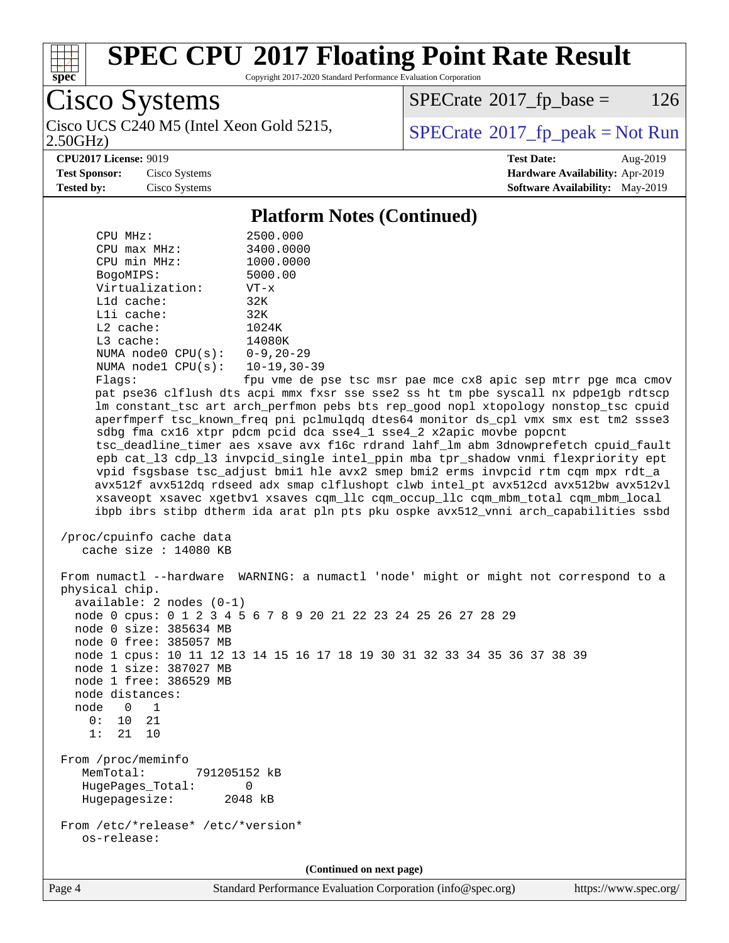

Copyright 2017-2020 Standard Performance Evaluation Corporation

Cisco Systems 2.50GHz)

 $SPECTate@2017_fp\_base = 126$ 

Cisco UCS C240 M5 (Intel Xeon Gold 5215,  $\vert$  [SPECrate](http://www.spec.org/auto/cpu2017/Docs/result-fields.html#SPECrate2017fppeak)®[2017\\_fp\\_peak = N](http://www.spec.org/auto/cpu2017/Docs/result-fields.html#SPECrate2017fppeak)ot Run

**[CPU2017 License:](http://www.spec.org/auto/cpu2017/Docs/result-fields.html#CPU2017License)** 9019 **[Test Date:](http://www.spec.org/auto/cpu2017/Docs/result-fields.html#TestDate)** Aug-2019

**[Test Sponsor:](http://www.spec.org/auto/cpu2017/Docs/result-fields.html#TestSponsor)** Cisco Systems **[Hardware Availability:](http://www.spec.org/auto/cpu2017/Docs/result-fields.html#HardwareAvailability)** Apr-2019 **[Tested by:](http://www.spec.org/auto/cpu2017/Docs/result-fields.html#Testedby)** Cisco Systems **[Software Availability:](http://www.spec.org/auto/cpu2017/Docs/result-fields.html#SoftwareAvailability)** May-2019

#### **[Platform Notes \(Continued\)](http://www.spec.org/auto/cpu2017/Docs/result-fields.html#PlatformNotes)**

CPU MHz: 2500.000<br>CPU max MHz: 3400.0000 CPU max MHz: 3400.0000 CPU min MHz: 1000.0000 BogoMIPS: 5000.00 Virtualization: VT-x L1d cache: 32K L1i cache: 32K L2 cache: 1024K L3 cache: 14080K NUMA node0 CPU(s): 0-9,20-29 NUMA node1 CPU(s): 10-19,30-39 Flags: fpu vme de pse tsc msr pae mce cx8 apic sep mtrr pge mca cmov pat pse36 clflush dts acpi mmx fxsr sse sse2 ss ht tm pbe syscall nx pdpe1gb rdtscp lm constant\_tsc art arch\_perfmon pebs bts rep\_good nopl xtopology nonstop\_tsc cpuid aperfmperf tsc\_known\_freq pni pclmulqdq dtes64 monitor ds\_cpl vmx smx est tm2 ssse3 sdbg fma cx16 xtpr pdcm pcid dca sse4\_1 sse4\_2 x2apic movbe popcnt tsc\_deadline\_timer aes xsave avx f16c rdrand lahf\_lm abm 3dnowprefetch cpuid\_fault epb cat\_l3 cdp\_l3 invpcid\_single intel\_ppin mba tpr\_shadow vnmi flexpriority ept vpid fsgsbase tsc\_adjust bmi1 hle avx2 smep bmi2 erms invpcid rtm cqm mpx rdt\_a avx512f avx512dq rdseed adx smap clflushopt clwb intel\_pt avx512cd avx512bw avx512vl xsaveopt xsavec xgetbv1 xsaves cqm\_llc cqm\_occup\_llc cqm\_mbm\_total cqm\_mbm\_local ibpb ibrs stibp dtherm ida arat pln pts pku ospke avx512\_vnni arch\_capabilities ssbd /proc/cpuinfo cache data cache size : 14080 KB From numactl --hardware WARNING: a numactl 'node' might or might not correspond to a physical chip. available: 2 nodes (0-1) node 0 cpus: 0 1 2 3 4 5 6 7 8 9 20 21 22 23 24 25 26 27 28 29 node 0 size: 385634 MB node 0 free: 385057 MB node 1 cpus: 10 11 12 13 14 15 16 17 18 19 30 31 32 33 34 35 36 37 38 39 node 1 size: 387027 MB node 1 free: 386529 MB node distances: node 0 1  $0: 10 21$  1: 21 10 From /proc/meminfo MemTotal: 791205152 kB HugePages\_Total: 0 Hugepagesize: 2048 kB From /etc/\*release\* /etc/\*version\* os-release: **(Continued on next page)**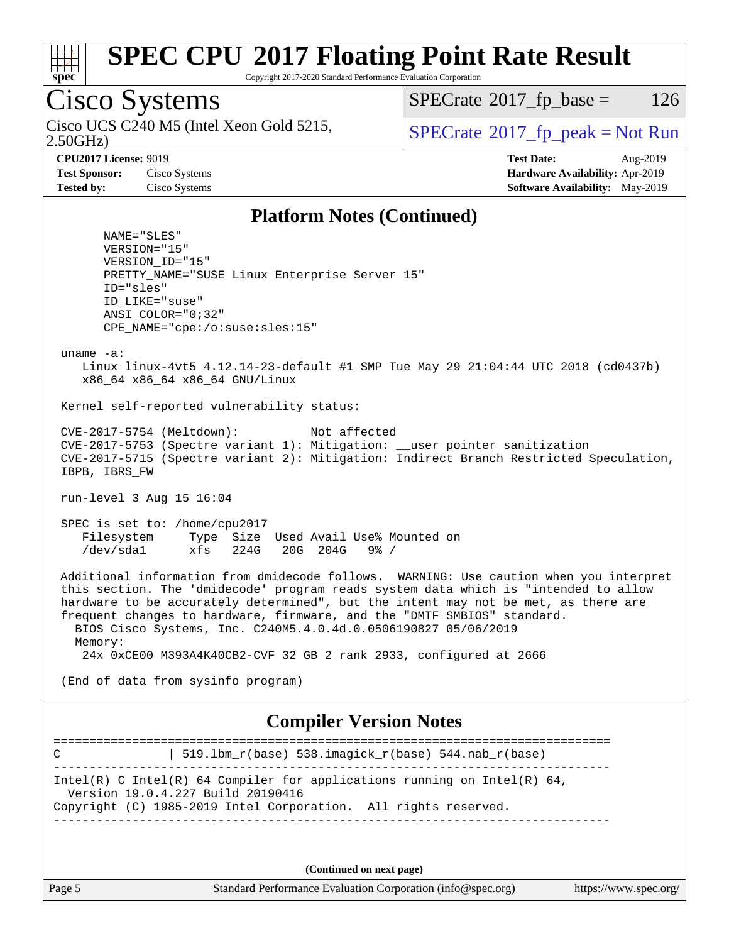

Copyright 2017-2020 Standard Performance Evaluation Corporation

### Cisco Systems

2.50GHz) Cisco UCS C240 M5 (Intel Xeon Gold 5215,  $\vert$  [SPECrate](http://www.spec.org/auto/cpu2017/Docs/result-fields.html#SPECrate2017fppeak)®[2017\\_fp\\_peak = N](http://www.spec.org/auto/cpu2017/Docs/result-fields.html#SPECrate2017fppeak)ot Run

 $SPECTate@2017_fp\_base = 126$ 

**[Tested by:](http://www.spec.org/auto/cpu2017/Docs/result-fields.html#Testedby)** Cisco Systems **[Software Availability:](http://www.spec.org/auto/cpu2017/Docs/result-fields.html#SoftwareAvailability)** May-2019

**[CPU2017 License:](http://www.spec.org/auto/cpu2017/Docs/result-fields.html#CPU2017License)** 9019 **[Test Date:](http://www.spec.org/auto/cpu2017/Docs/result-fields.html#TestDate)** Aug-2019 **[Test Sponsor:](http://www.spec.org/auto/cpu2017/Docs/result-fields.html#TestSponsor)** Cisco Systems **[Hardware Availability:](http://www.spec.org/auto/cpu2017/Docs/result-fields.html#HardwareAvailability)** Apr-2019

#### **[Platform Notes \(Continued\)](http://www.spec.org/auto/cpu2017/Docs/result-fields.html#PlatformNotes)**

 NAME="SLES" VERSION="15" VERSION\_ID="15" PRETTY\_NAME="SUSE Linux Enterprise Server 15" ID="sles" ID\_LIKE="suse" ANSI\_COLOR="0;32" CPE\_NAME="cpe:/o:suse:sles:15"

uname -a:

 Linux linux-4vt5 4.12.14-23-default #1 SMP Tue May 29 21:04:44 UTC 2018 (cd0437b) x86\_64 x86\_64 x86\_64 GNU/Linux

Kernel self-reported vulnerability status:

 CVE-2017-5754 (Meltdown): Not affected CVE-2017-5753 (Spectre variant 1): Mitigation: \_\_user pointer sanitization CVE-2017-5715 (Spectre variant 2): Mitigation: Indirect Branch Restricted Speculation, IBPB, IBRS\_FW

run-level 3 Aug 15 16:04

 SPEC is set to: /home/cpu2017 Filesystem Type Size Used Avail Use% Mounted on /dev/sda1 xfs 224G 20G 204G 9% /

 Additional information from dmidecode follows. WARNING: Use caution when you interpret this section. The 'dmidecode' program reads system data which is "intended to allow hardware to be accurately determined", but the intent may not be met, as there are frequent changes to hardware, firmware, and the "DMTF SMBIOS" standard. BIOS Cisco Systems, Inc. C240M5.4.0.4d.0.0506190827 05/06/2019 Memory:

24x 0xCE00 M393A4K40CB2-CVF 32 GB 2 rank 2933, configured at 2666

(End of data from sysinfo program)

#### **[Compiler Version Notes](http://www.spec.org/auto/cpu2017/Docs/result-fields.html#CompilerVersionNotes)**

============================================================================== C  $| 519.1bm_r(base) 538.imagick_r(base) 544.nab_r(base)$ ------------------------------------------------------------------------------ Intel(R) C Intel(R) 64 Compiler for applications running on Intel(R)  $64$ , Version 19.0.4.227 Build 20190416 Copyright (C) 1985-2019 Intel Corporation. All rights reserved. ------------------------------------------------------------------------------

**(Continued on next page)**

| Page<br>- |  |
|-----------|--|
|-----------|--|

Page 5 Standard Performance Evaluation Corporation [\(info@spec.org\)](mailto:info@spec.org) <https://www.spec.org/>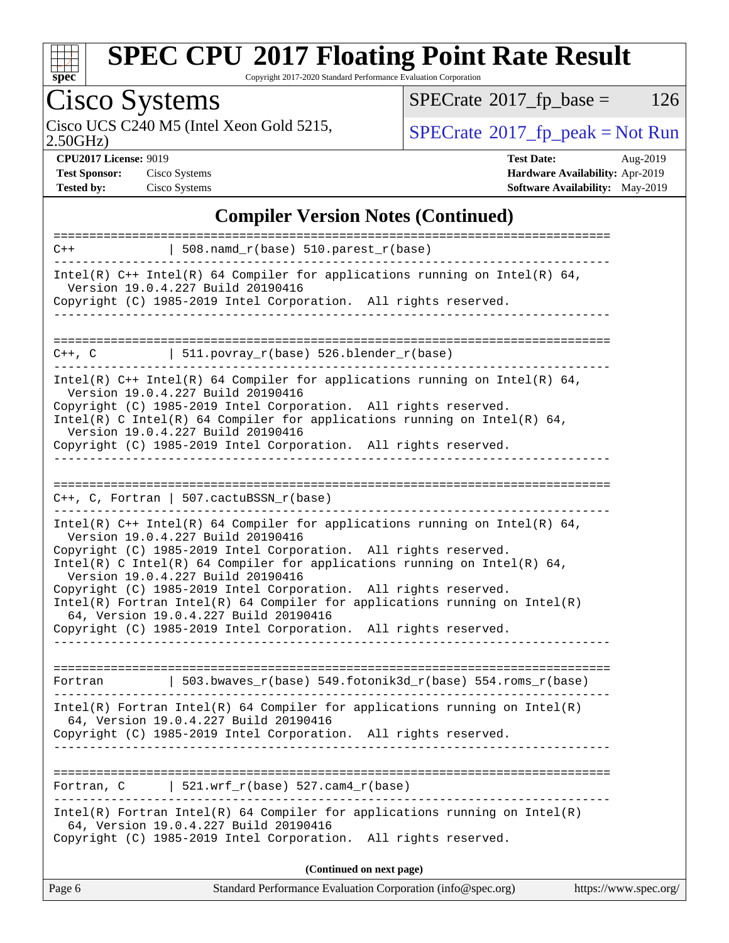

Copyright 2017-2020 Standard Performance Evaluation Corporation

# Cisco Systems

Cisco UCS C240 M5 (Intel Xeon Gold 5215,  $\begin{array}{|l|l|}\n\hline\n\text{SPECrate} \textdegree 2017_f\textdegree 2018 = \text{Not Run} \\
\hline\n\end{array}$  $\begin{array}{|l|l|}\n\hline\n\text{SPECrate} \textdegree 2017_f\textdegree 2018 = \text{Not Run} \\
\hline\n\end{array}$  $\begin{array}{|l|l|}\n\hline\n\text{SPECrate} \textdegree 2017_f\textdegree 2018 = \text{Not Run} \\
\hline\n\end{array}$ 

 $SPECTate$ <sup>®</sup>[2017\\_fp\\_base =](http://www.spec.org/auto/cpu2017/Docs/result-fields.html#SPECrate2017fpbase) 126

2.50GHz)

**[CPU2017 License:](http://www.spec.org/auto/cpu2017/Docs/result-fields.html#CPU2017License)** 9019 **[Test Date:](http://www.spec.org/auto/cpu2017/Docs/result-fields.html#TestDate)** Aug-2019 **[Test Sponsor:](http://www.spec.org/auto/cpu2017/Docs/result-fields.html#TestSponsor)** Cisco Systems **[Hardware Availability:](http://www.spec.org/auto/cpu2017/Docs/result-fields.html#HardwareAvailability)** Apr-2019 **[Tested by:](http://www.spec.org/auto/cpu2017/Docs/result-fields.html#Testedby)** Cisco Systems **[Software Availability:](http://www.spec.org/auto/cpu2017/Docs/result-fields.html#SoftwareAvailability)** May-2019

### **[Compiler Version Notes \(Continued\)](http://www.spec.org/auto/cpu2017/Docs/result-fields.html#CompilerVersionNotes)**

| $C++$      | $\vert$ 508.namd_r(base) 510.parest_r(base)                                                                                                                                                                                                                                                                                                                                                                                                                                                                                                                          |
|------------|----------------------------------------------------------------------------------------------------------------------------------------------------------------------------------------------------------------------------------------------------------------------------------------------------------------------------------------------------------------------------------------------------------------------------------------------------------------------------------------------------------------------------------------------------------------------|
|            | Intel(R) $C++$ Intel(R) 64 Compiler for applications running on Intel(R) 64,<br>Version 19.0.4.227 Build 20190416<br>Copyright (C) 1985-2019 Intel Corporation. All rights reserved.                                                                                                                                                                                                                                                                                                                                                                                 |
|            |                                                                                                                                                                                                                                                                                                                                                                                                                                                                                                                                                                      |
| C++, C     | 511.povray_r(base) 526.blender_r(base)                                                                                                                                                                                                                                                                                                                                                                                                                                                                                                                               |
|            | Intel(R) $C++$ Intel(R) 64 Compiler for applications running on Intel(R) 64,<br>Version 19.0.4.227 Build 20190416<br>Copyright (C) 1985-2019 Intel Corporation. All rights reserved.<br>Intel(R) C Intel(R) 64 Compiler for applications running on Intel(R) 64,<br>Version 19.0.4.227 Build 20190416                                                                                                                                                                                                                                                                |
|            | Copyright (C) 1985-2019 Intel Corporation. All rights reserved.                                                                                                                                                                                                                                                                                                                                                                                                                                                                                                      |
|            |                                                                                                                                                                                                                                                                                                                                                                                                                                                                                                                                                                      |
|            | $C_{++}$ , C, Fortran   507.cactuBSSN_r(base)                                                                                                                                                                                                                                                                                                                                                                                                                                                                                                                        |
|            | Intel(R) $C++$ Intel(R) 64 Compiler for applications running on Intel(R) 64,<br>Version 19.0.4.227 Build 20190416<br>Copyright (C) 1985-2019 Intel Corporation. All rights reserved.<br>Intel(R) C Intel(R) 64 Compiler for applications running on Intel(R) 64,<br>Version 19.0.4.227 Build 20190416<br>Copyright (C) 1985-2019 Intel Corporation. All rights reserved.<br>$Intel(R)$ Fortran Intel(R) 64 Compiler for applications running on Intel(R)<br>64, Version 19.0.4.227 Build 20190416<br>Copyright (C) 1985-2019 Intel Corporation. All rights reserved. |
| Fortran    | $\vert$ 503.bwaves_r(base) 549.fotonik3d_r(base) 554.roms_r(base)                                                                                                                                                                                                                                                                                                                                                                                                                                                                                                    |
|            | $Intel(R)$ Fortran Intel(R) 64 Compiler for applications running on Intel(R)<br>64, Version 19.0.4.227 Build 20190416<br>Copyright (C) 1985-2019 Intel Corporation. All rights reserved.                                                                                                                                                                                                                                                                                                                                                                             |
| Fortran, C | $ $ 521.wrf_r(base) 527.cam4_r(base)                                                                                                                                                                                                                                                                                                                                                                                                                                                                                                                                 |
|            | $Intel(R)$ Fortran Intel(R) 64 Compiler for applications running on Intel(R)<br>64, Version 19.0.4.227 Build 20190416<br>Copyright (C) 1985-2019 Intel Corporation. All rights reserved.                                                                                                                                                                                                                                                                                                                                                                             |
|            | (Continued on next page)                                                                                                                                                                                                                                                                                                                                                                                                                                                                                                                                             |
| Page 6     | Standard Performance Evaluation Corporation (info@spec.org)<br>https://www.spec.org/                                                                                                                                                                                                                                                                                                                                                                                                                                                                                 |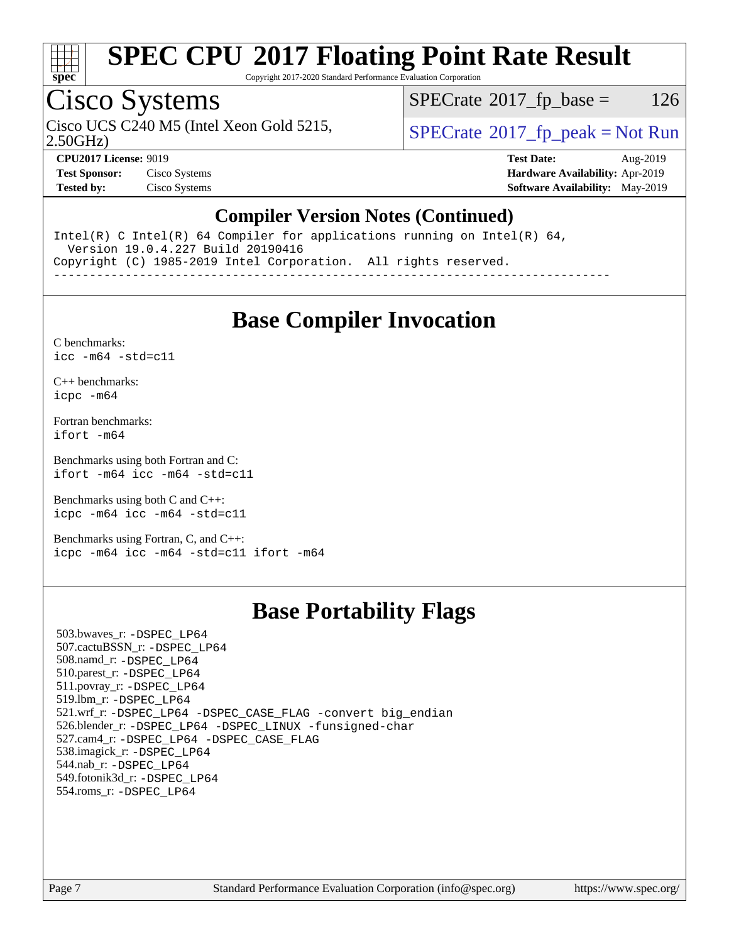

Copyright 2017-2020 Standard Performance Evaluation Corporation

### Cisco Systems

Cisco UCS C240 M5 (Intel Xeon Gold 5215,  $\vert$  [SPECrate](http://www.spec.org/auto/cpu2017/Docs/result-fields.html#SPECrate2017fppeak)®[2017\\_fp\\_peak = N](http://www.spec.org/auto/cpu2017/Docs/result-fields.html#SPECrate2017fppeak)ot Run

 $SPECTate@2017_fp\_base = 126$ 

2.50GHz)

**[Test Sponsor:](http://www.spec.org/auto/cpu2017/Docs/result-fields.html#TestSponsor)** Cisco Systems **[Hardware Availability:](http://www.spec.org/auto/cpu2017/Docs/result-fields.html#HardwareAvailability)** Apr-2019 **[Tested by:](http://www.spec.org/auto/cpu2017/Docs/result-fields.html#Testedby)** Cisco Systems **[Software Availability:](http://www.spec.org/auto/cpu2017/Docs/result-fields.html#SoftwareAvailability)** May-2019

**[CPU2017 License:](http://www.spec.org/auto/cpu2017/Docs/result-fields.html#CPU2017License)** 9019 **[Test Date:](http://www.spec.org/auto/cpu2017/Docs/result-fields.html#TestDate)** Aug-2019

### **[Compiler Version Notes \(Continued\)](http://www.spec.org/auto/cpu2017/Docs/result-fields.html#CompilerVersionNotes)**

Intel(R) C Intel(R) 64 Compiler for applications running on Intel(R) 64, Version 19.0.4.227 Build 20190416 Copyright (C) 1985-2019 Intel Corporation. All rights reserved.

------------------------------------------------------------------------------

### **[Base Compiler Invocation](http://www.spec.org/auto/cpu2017/Docs/result-fields.html#BaseCompilerInvocation)**

[C benchmarks](http://www.spec.org/auto/cpu2017/Docs/result-fields.html#Cbenchmarks): [icc -m64 -std=c11](http://www.spec.org/cpu2017/results/res2019q3/cpu2017-20190819-16780.flags.html#user_CCbase_intel_icc_64bit_c11_33ee0cdaae7deeeab2a9725423ba97205ce30f63b9926c2519791662299b76a0318f32ddfffdc46587804de3178b4f9328c46fa7c2b0cd779d7a61945c91cd35)

[C++ benchmarks:](http://www.spec.org/auto/cpu2017/Docs/result-fields.html#CXXbenchmarks) [icpc -m64](http://www.spec.org/cpu2017/results/res2019q3/cpu2017-20190819-16780.flags.html#user_CXXbase_intel_icpc_64bit_4ecb2543ae3f1412ef961e0650ca070fec7b7afdcd6ed48761b84423119d1bf6bdf5cad15b44d48e7256388bc77273b966e5eb805aefd121eb22e9299b2ec9d9)

[Fortran benchmarks](http://www.spec.org/auto/cpu2017/Docs/result-fields.html#Fortranbenchmarks): [ifort -m64](http://www.spec.org/cpu2017/results/res2019q3/cpu2017-20190819-16780.flags.html#user_FCbase_intel_ifort_64bit_24f2bb282fbaeffd6157abe4f878425411749daecae9a33200eee2bee2fe76f3b89351d69a8130dd5949958ce389cf37ff59a95e7a40d588e8d3a57e0c3fd751)

[Benchmarks using both Fortran and C](http://www.spec.org/auto/cpu2017/Docs/result-fields.html#BenchmarksusingbothFortranandC): [ifort -m64](http://www.spec.org/cpu2017/results/res2019q3/cpu2017-20190819-16780.flags.html#user_CC_FCbase_intel_ifort_64bit_24f2bb282fbaeffd6157abe4f878425411749daecae9a33200eee2bee2fe76f3b89351d69a8130dd5949958ce389cf37ff59a95e7a40d588e8d3a57e0c3fd751) [icc -m64 -std=c11](http://www.spec.org/cpu2017/results/res2019q3/cpu2017-20190819-16780.flags.html#user_CC_FCbase_intel_icc_64bit_c11_33ee0cdaae7deeeab2a9725423ba97205ce30f63b9926c2519791662299b76a0318f32ddfffdc46587804de3178b4f9328c46fa7c2b0cd779d7a61945c91cd35)

[Benchmarks using both C and C++](http://www.spec.org/auto/cpu2017/Docs/result-fields.html#BenchmarksusingbothCandCXX): [icpc -m64](http://www.spec.org/cpu2017/results/res2019q3/cpu2017-20190819-16780.flags.html#user_CC_CXXbase_intel_icpc_64bit_4ecb2543ae3f1412ef961e0650ca070fec7b7afdcd6ed48761b84423119d1bf6bdf5cad15b44d48e7256388bc77273b966e5eb805aefd121eb22e9299b2ec9d9) [icc -m64 -std=c11](http://www.spec.org/cpu2017/results/res2019q3/cpu2017-20190819-16780.flags.html#user_CC_CXXbase_intel_icc_64bit_c11_33ee0cdaae7deeeab2a9725423ba97205ce30f63b9926c2519791662299b76a0318f32ddfffdc46587804de3178b4f9328c46fa7c2b0cd779d7a61945c91cd35)

[Benchmarks using Fortran, C, and C++:](http://www.spec.org/auto/cpu2017/Docs/result-fields.html#BenchmarksusingFortranCandCXX) [icpc -m64](http://www.spec.org/cpu2017/results/res2019q3/cpu2017-20190819-16780.flags.html#user_CC_CXX_FCbase_intel_icpc_64bit_4ecb2543ae3f1412ef961e0650ca070fec7b7afdcd6ed48761b84423119d1bf6bdf5cad15b44d48e7256388bc77273b966e5eb805aefd121eb22e9299b2ec9d9) [icc -m64 -std=c11](http://www.spec.org/cpu2017/results/res2019q3/cpu2017-20190819-16780.flags.html#user_CC_CXX_FCbase_intel_icc_64bit_c11_33ee0cdaae7deeeab2a9725423ba97205ce30f63b9926c2519791662299b76a0318f32ddfffdc46587804de3178b4f9328c46fa7c2b0cd779d7a61945c91cd35) [ifort -m64](http://www.spec.org/cpu2017/results/res2019q3/cpu2017-20190819-16780.flags.html#user_CC_CXX_FCbase_intel_ifort_64bit_24f2bb282fbaeffd6157abe4f878425411749daecae9a33200eee2bee2fe76f3b89351d69a8130dd5949958ce389cf37ff59a95e7a40d588e8d3a57e0c3fd751)

### **[Base Portability Flags](http://www.spec.org/auto/cpu2017/Docs/result-fields.html#BasePortabilityFlags)**

 503.bwaves\_r: [-DSPEC\\_LP64](http://www.spec.org/cpu2017/results/res2019q3/cpu2017-20190819-16780.flags.html#suite_basePORTABILITY503_bwaves_r_DSPEC_LP64) 507.cactuBSSN\_r: [-DSPEC\\_LP64](http://www.spec.org/cpu2017/results/res2019q3/cpu2017-20190819-16780.flags.html#suite_basePORTABILITY507_cactuBSSN_r_DSPEC_LP64) 508.namd\_r: [-DSPEC\\_LP64](http://www.spec.org/cpu2017/results/res2019q3/cpu2017-20190819-16780.flags.html#suite_basePORTABILITY508_namd_r_DSPEC_LP64) 510.parest\_r: [-DSPEC\\_LP64](http://www.spec.org/cpu2017/results/res2019q3/cpu2017-20190819-16780.flags.html#suite_basePORTABILITY510_parest_r_DSPEC_LP64) 511.povray\_r: [-DSPEC\\_LP64](http://www.spec.org/cpu2017/results/res2019q3/cpu2017-20190819-16780.flags.html#suite_basePORTABILITY511_povray_r_DSPEC_LP64) 519.lbm\_r: [-DSPEC\\_LP64](http://www.spec.org/cpu2017/results/res2019q3/cpu2017-20190819-16780.flags.html#suite_basePORTABILITY519_lbm_r_DSPEC_LP64) 521.wrf\_r: [-DSPEC\\_LP64](http://www.spec.org/cpu2017/results/res2019q3/cpu2017-20190819-16780.flags.html#suite_basePORTABILITY521_wrf_r_DSPEC_LP64) [-DSPEC\\_CASE\\_FLAG](http://www.spec.org/cpu2017/results/res2019q3/cpu2017-20190819-16780.flags.html#b521.wrf_r_baseCPORTABILITY_DSPEC_CASE_FLAG) [-convert big\\_endian](http://www.spec.org/cpu2017/results/res2019q3/cpu2017-20190819-16780.flags.html#user_baseFPORTABILITY521_wrf_r_convert_big_endian_c3194028bc08c63ac5d04de18c48ce6d347e4e562e8892b8bdbdc0214820426deb8554edfa529a3fb25a586e65a3d812c835984020483e7e73212c4d31a38223) 526.blender\_r: [-DSPEC\\_LP64](http://www.spec.org/cpu2017/results/res2019q3/cpu2017-20190819-16780.flags.html#suite_basePORTABILITY526_blender_r_DSPEC_LP64) [-DSPEC\\_LINUX](http://www.spec.org/cpu2017/results/res2019q3/cpu2017-20190819-16780.flags.html#b526.blender_r_baseCPORTABILITY_DSPEC_LINUX) [-funsigned-char](http://www.spec.org/cpu2017/results/res2019q3/cpu2017-20190819-16780.flags.html#user_baseCPORTABILITY526_blender_r_force_uchar_40c60f00ab013830e2dd6774aeded3ff59883ba5a1fc5fc14077f794d777847726e2a5858cbc7672e36e1b067e7e5c1d9a74f7176df07886a243d7cc18edfe67) 527.cam4\_r: [-DSPEC\\_LP64](http://www.spec.org/cpu2017/results/res2019q3/cpu2017-20190819-16780.flags.html#suite_basePORTABILITY527_cam4_r_DSPEC_LP64) [-DSPEC\\_CASE\\_FLAG](http://www.spec.org/cpu2017/results/res2019q3/cpu2017-20190819-16780.flags.html#b527.cam4_r_baseCPORTABILITY_DSPEC_CASE_FLAG) 538.imagick\_r: [-DSPEC\\_LP64](http://www.spec.org/cpu2017/results/res2019q3/cpu2017-20190819-16780.flags.html#suite_basePORTABILITY538_imagick_r_DSPEC_LP64) 544.nab\_r: [-DSPEC\\_LP64](http://www.spec.org/cpu2017/results/res2019q3/cpu2017-20190819-16780.flags.html#suite_basePORTABILITY544_nab_r_DSPEC_LP64) 549.fotonik3d\_r: [-DSPEC\\_LP64](http://www.spec.org/cpu2017/results/res2019q3/cpu2017-20190819-16780.flags.html#suite_basePORTABILITY549_fotonik3d_r_DSPEC_LP64) 554.roms\_r: [-DSPEC\\_LP64](http://www.spec.org/cpu2017/results/res2019q3/cpu2017-20190819-16780.flags.html#suite_basePORTABILITY554_roms_r_DSPEC_LP64)